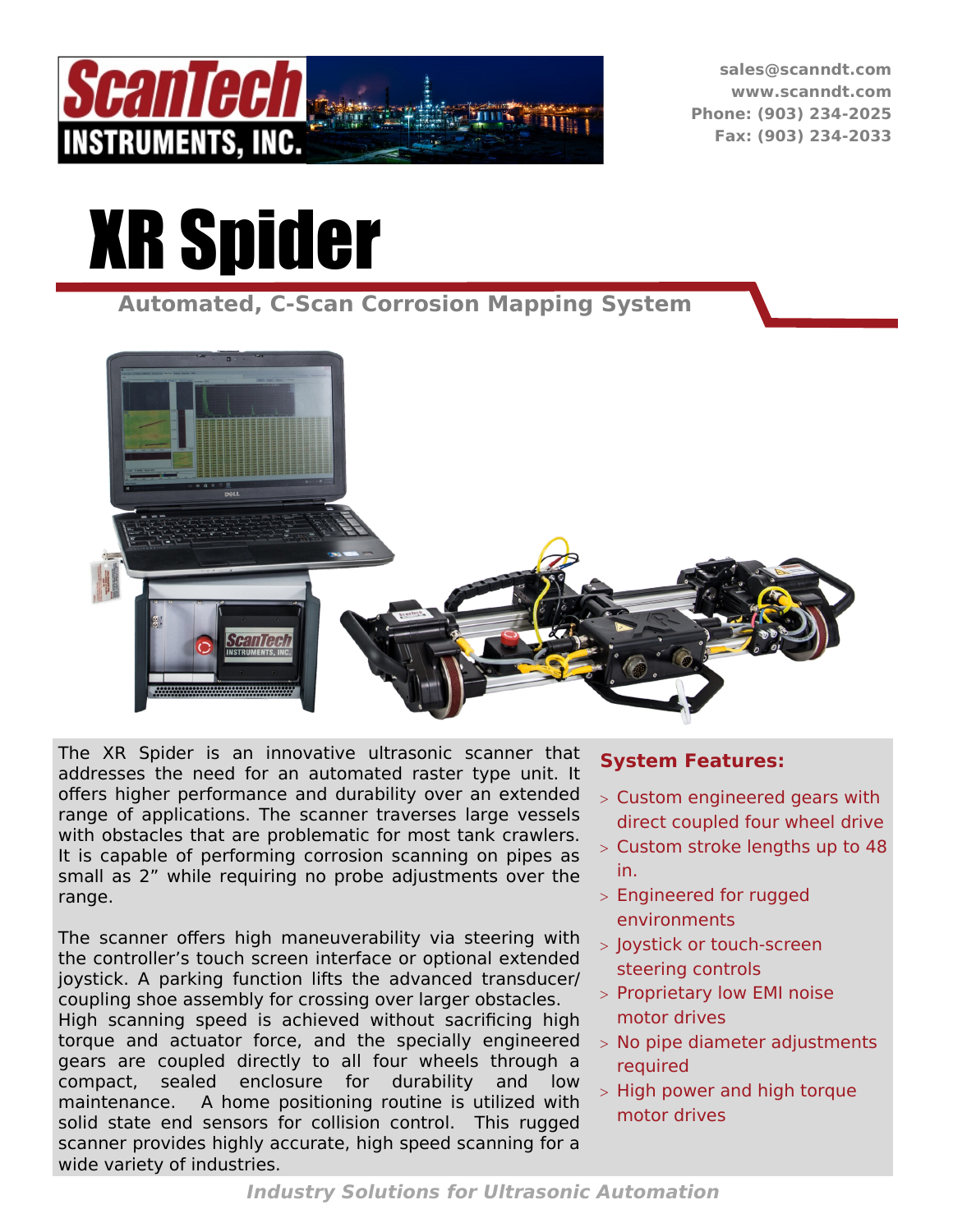

**sales@scanndt.com www.scanndt.com Phone: (903) 234-2025 Fax: (903) 234-2033**

# XR Spider

**Automated, C-Scan Corrosion Mapping System** 



The XR Spider is an innovative ultrasonic scanner that addresses the need for an automated raster type unit. It offers higher performance and durability over an extended range of applications. The scanner traverses large vessels with obstacles that are problematic for most tank crawlers. It is capable of performing corrosion scanning on pipes as small as 2" while requiring no probe adjustments over the range.

The scanner offers high maneuverability via steering with the controller's touch screen interface or optional extended joystick. A parking function lifts the advanced transducer/ coupling shoe assembly for crossing over larger obstacles. High scanning speed is achieved without sacrificing high torque and actuator force, and the specially engineered gears are coupled directly to all four wheels through a compact, sealed enclosure for durability and low maintenance. A home positioning routine is utilized with solid state end sensors for collision control. This rugged scanner provides highly accurate, high speed scanning for a wide variety of industries.

#### **System Features:**

- Custom engineered gears with direct coupled four wheel drive
- Custom stroke lengths up to 48 in.
- Engineered for rugged environments
- > Joystick or touch-screen steering controls
- > Proprietary low EMI noise motor drives
- No pipe diameter adjustments required
- $>$  High power and high torque motor drives